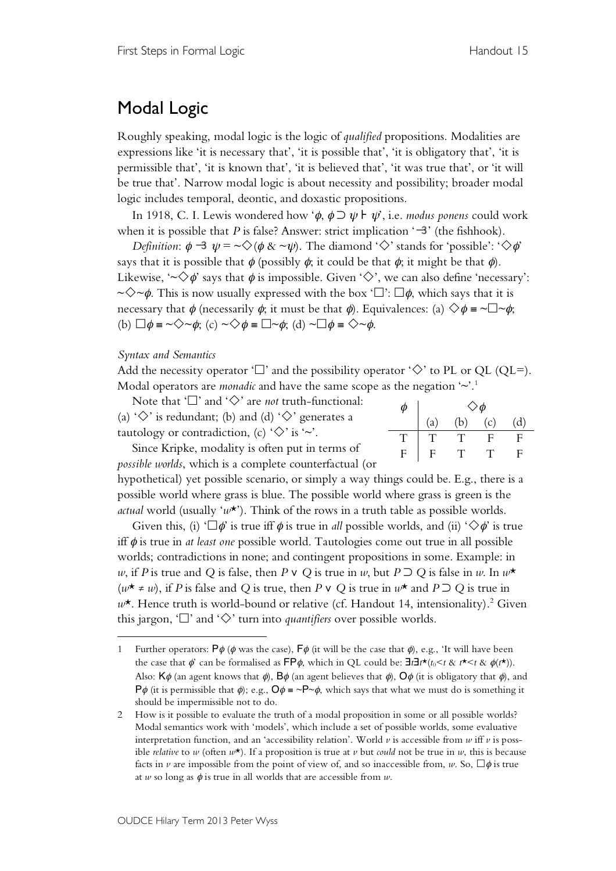## Modal Logic

Roughly speaking, modal logic is the logic of *qualified* propositions. Modalities are expressions like 'it is necessary that', 'it is possible that', 'it is obligatory that', 'it is permissible that', 'it is known that', 'it is believed that', 'it was true that', or 'it will be true that'. Narrow modal logic is about necessity and possibility; broader modal logic includes temporal, deontic, and doxastic propositions.

In 1918, C. I. Lewis wondered how ' $\phi$ ,  $\phi \supset \psi$  |  $\psi$ ', i.e. *modus ponens* could work when it is possible that *P* is false? Answer: strict implication  $\ddot{\mathbf{3}}$  (the fishhook).

*Definition*:  $\phi \rightarrow \psi = \sqrt{\phi \& \sim \psi}$ . The diamond ' $\Diamond$ ' stands for 'possible': ' $\Diamond \phi$ ' says that it is possible that  $\phi$  (possibly  $\phi$ ; it could be that  $\phi$ ; it might be that  $\phi$ ). Likewise, ' $\sim \Diamond \phi$ ' says that  $\phi$  is impossible. Given ' $\Diamond'$ ', we can also define 'necessary':  $\sim \diamond \sim \phi$ . This is now usually expressed with the box ' $\Box$ ':  $\Box \phi$ , which says that it is necessary that  $\phi$  (necessarily  $\phi$ ; it must be that  $\phi$ ). Equivalences: (a)  $\Diamond \phi = \neg \Box \neg \phi$ ; (b)  $\Box \phi = \sim \Diamond \sim \phi$ ; (c)  $\sim \Diamond \phi = \Box \sim \phi$ ; (d)  $\sim \Box \phi = \Diamond \sim \phi$ .

## *Syntax and Semantics*

 $\overline{a}$ 

Add the necessity operator ' $\Box$ ' and the possibility operator ' $\diamondsuit$ ' to PL or QL (QL=). Modal operators are *monadic* and have the same scope as the negation  $\sim$ <sup>1</sup>.<sup>1</sup>

Note that ' $\square$ ' and ' $\diamondsuit$ ' are *not* truth-functional: (a) ' $\diamondsuit$ ' is redundant; (b) and (d) ' $\diamondsuit$ ' generates a tautology or contradiction, (c)  $\Diamond$  is  $\sim$ .

|   | φ                         |       |     |     |
|---|---------------------------|-------|-----|-----|
|   | (a)                       | (b)   | (c) | (d) |
| T | T                         | - T 1 | F   | F   |
| F | $\boldsymbol{\mathrm{F}}$ | Ŧ     | Ŧ   | F   |
|   |                           |       |     |     |

Since Kripke, modality is often put in terms of *possible worlds*, which is a complete counterfactual (or

hypothetical) yet possible scenario, or simply a way things could be. E.g., there is a possible world where grass is blue. The possible world where grass is green is the *actual* world (usually ' $w^*$ ). Think of the rows in a truth table as possible worlds.

Given this, (i) ' $\Box \phi$ ' is true iff  $\phi$  is true in *all* possible worlds, and (ii) ' $\diamondsuit \phi$ ' is true iff φ is true in *at least one* possible world. Tautologies come out true in all possible worlds; contradictions in none; and contingent propositions in some. Example: in *w*, if *P* is true and *Q* is false, then *P*  $\vee$  *Q* is true in *w*, but *P*  $\supset$  *Q* is false in *w*. In  $w^*$ (*w*\* ≠ *w*), if *P* is false and *Q* is true, then *P* ∨ *Q* is true in *w*\* and *P* ⊃ *Q* is true in *w*\*. Hence truth is world-bound or relative (cf. Handout 14, intensionality). <sup>2</sup> Given this jargon, ' $\square$ ' and ' $\diamondsuit$ ' turn into *quantifiers* over possible worlds.

<sup>1</sup> Further operators:  $P\phi$  ( $\phi$  was the case),  $F\phi$  (it will be the case that  $\phi$ ), e.g., 'It will have been the case that  $\phi'$  can be formalised as FP $\phi$ , which in QL could be:  $\exists t \exists t * (t_0 < t \& t^* < t \& \phi(t^*)$ . Also:  $K\phi$  (an agent knows that  $\phi$ ),  $B\phi$  (an agent believes that  $\phi$ ),  $\overline{O}\phi$  (it is obligatory that  $\phi$ ), and  $P\phi$  (it is permissible that  $\phi$ ); e.g.,  $Q\phi = \neg P \neg \phi$ , which says that what we must do is something it should be impermissible not to do.

<sup>2</sup> How is it possible to evaluate the truth of a modal proposition in some or all possible worlds? Modal semantics work with 'models', which include a set of possible worlds, some evaluative interpretation function, and an 'accessibility relation'. World  $\nu$  is accessible from  $w$  iff  $\nu$  is possible *relative* to *w* (often  $w^*$ ). If a proposition is true at *v* but *could* not be true in *w*, this is because facts in *v* are impossible from the point of view of, and so inaccessible from, *w*. So,  $\Box \phi$  is true at *w* so long as  $\phi$  is true in all worlds that are accessible from *w*.